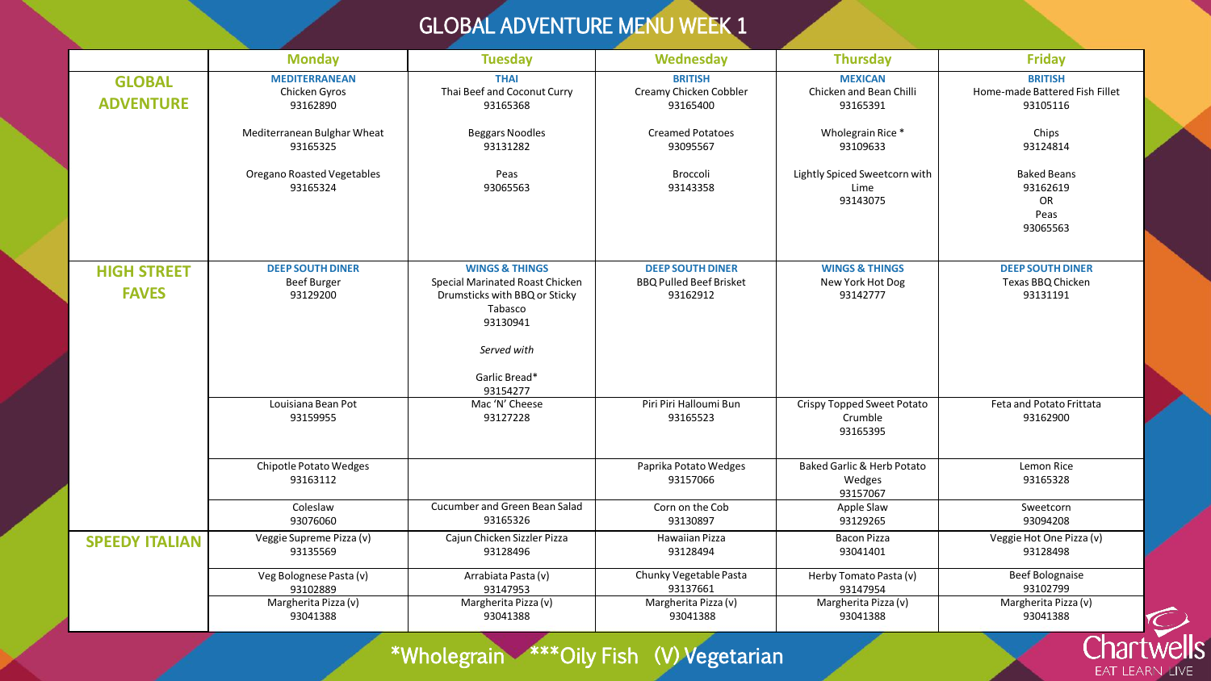## GLOBAL ADVENTURE MENU WEEK 1

|                                    | <b>Monday</b>                                             | <b>Tuesday</b>                                                                                                                                                   | <b>Wednesday</b>                                                      | <b>Thursday</b>                                             | <b>Friday</b>                                                |
|------------------------------------|-----------------------------------------------------------|------------------------------------------------------------------------------------------------------------------------------------------------------------------|-----------------------------------------------------------------------|-------------------------------------------------------------|--------------------------------------------------------------|
| <b>GLOBAL</b><br><b>ADVENTURE</b>  | <b>MEDITERRANEAN</b><br>Chicken Gyros<br>93162890         | <b>THAI</b><br>Thai Beef and Coconut Curry<br>93165368                                                                                                           | <b>BRITISH</b><br>Creamy Chicken Cobbler<br>93165400                  | <b>MEXICAN</b><br>Chicken and Bean Chilli<br>93165391       | <b>BRITISH</b><br>Home-made Battered Fish Fillet<br>93105116 |
|                                    | Mediterranean Bulghar Wheat<br>93165325                   | <b>Beggars Noodles</b><br>93131282                                                                                                                               | <b>Creamed Potatoes</b><br>93095567                                   | Wholegrain Rice *<br>93109633                               | Chips<br>93124814                                            |
|                                    | <b>Oregano Roasted Vegetables</b><br>93165324             | Peas<br>93065563                                                                                                                                                 | Broccoli<br>93143358                                                  | Lightly Spiced Sweetcorn with<br>Lime<br>93143075           | <b>Baked Beans</b><br>93162619<br>OR<br>Peas<br>93065563     |
| <b>HIGH STREET</b><br><b>FAVES</b> | <b>DEEP SOUTH DINER</b><br><b>Beef Burger</b><br>93129200 | <b>WINGS &amp; THINGS</b><br>Special Marinated Roast Chicken<br>Drumsticks with BBQ or Sticky<br>Tabasco<br>93130941<br>Served with<br>Garlic Bread*<br>93154277 | <b>DEEP SOUTH DINER</b><br><b>BBQ Pulled Beef Brisket</b><br>93162912 | <b>WINGS &amp; THINGS</b><br>New York Hot Dog<br>93142777   | <b>DEEP SOUTH DINER</b><br>Texas BBQ Chicken<br>93131191     |
|                                    | Louisiana Bean Pot<br>93159955                            | Mac 'N' Cheese<br>93127228                                                                                                                                       | Piri Piri Halloumi Bun<br>93165523                                    | Crispy Topped Sweet Potato<br>Crumble<br>93165395           | Feta and Potato Frittata<br>93162900                         |
|                                    | Chipotle Potato Wedges<br>93163112                        |                                                                                                                                                                  | Paprika Potato Wedges<br>93157066                                     | <b>Baked Garlic &amp; Herb Potato</b><br>Wedges<br>93157067 | Lemon Rice<br>93165328                                       |
|                                    | Coleslaw<br>93076060                                      | Cucumber and Green Bean Salad<br>93165326                                                                                                                        | Corn on the Cob<br>93130897                                           | Apple Slaw<br>93129265                                      | Sweetcorn<br>93094208                                        |
| <b>SPEEDY ITALIAN</b>              | Veggie Supreme Pizza (v)<br>93135569                      | Cajun Chicken Sizzler Pizza<br>93128496                                                                                                                          | Hawaiian Pizza<br>93128494                                            | <b>Bacon Pizza</b><br>93041401                              | Veggie Hot One Pizza (v)<br>93128498                         |
|                                    | Veg Bolognese Pasta (v)<br>93102889                       | Arrabiata Pasta (v)<br>93147953                                                                                                                                  | Chunky Vegetable Pasta<br>93137661                                    | Herby Tomato Pasta (v)<br>93147954                          | <b>Beef Bolognaise</b><br>93102799                           |
|                                    | Margherita Pizza (v)<br>93041388                          | Margherita Pizza (v)<br>93041388                                                                                                                                 | Margherita Pizza (v)<br>93041388                                      | Margherita Pizza (v)<br>93041388                            | Margherita Pizza (v)<br>93041388                             |

## \*Wholegrain \*\*\*Oily Fish (V) Vegetarian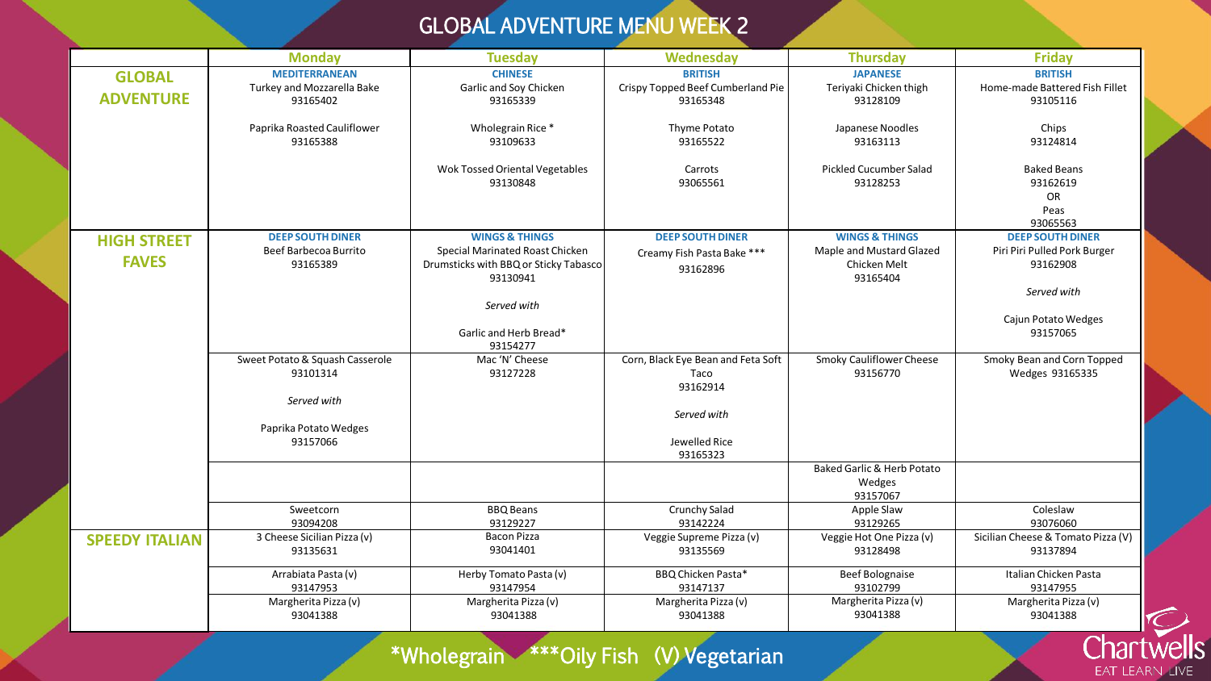## GLOBAL ADVENTURE MENU WEEK 2

|                       | <b>Monday</b>                           | <b>Tuesday</b>                                                                       | <b>Wednesday</b>                              | <b>Thursday</b>                                             | <b>Friday</b>                                                   |
|-----------------------|-----------------------------------------|--------------------------------------------------------------------------------------|-----------------------------------------------|-------------------------------------------------------------|-----------------------------------------------------------------|
| <b>GLOBAL</b>         | <b>MEDITERRANEAN</b>                    | <b>CHINESE</b>                                                                       | <b>BRITISH</b>                                | <b>JAPANESE</b>                                             | <b>BRITISH</b>                                                  |
| <b>ADVENTURE</b>      | Turkey and Mozzarella Bake<br>93165402  | Garlic and Soy Chicken<br>93165339                                                   | Crispy Topped Beef Cumberland Pie<br>93165348 | Teriyaki Chicken thigh<br>93128109                          | Home-made Battered Fish Fillet<br>93105116                      |
|                       | Paprika Roasted Cauliflower<br>93165388 | Wholegrain Rice*<br>93109633                                                         | Thyme Potato<br>93165522                      | Japanese Noodles<br>93163113                                | Chips<br>93124814                                               |
|                       |                                         | Wok Tossed Oriental Vegetables<br>93130848                                           | Carrots<br>93065561                           | <b>Pickled Cucumber Salad</b><br>93128253                   | <b>Baked Beans</b><br>93162619<br><b>OR</b><br>Peas<br>93065563 |
| <b>HIGH STREET</b>    | <b>DEEP SOUTH DINER</b>                 | <b>WINGS &amp; THINGS</b>                                                            | <b>DEEP SOUTH DINER</b>                       | <b>WINGS &amp; THINGS</b>                                   | <b>DEEP SOUTH DINER</b>                                         |
| <b>FAVES</b>          | Beef Barbecoa Burrito<br>93165389       | Special Marinated Roast Chicken<br>Drumsticks with BBQ or Sticky Tabasco<br>93130941 | Creamy Fish Pasta Bake ***<br>93162896        | Maple and Mustard Glazed<br>Chicken Melt<br>93165404        | Piri Piri Pulled Pork Burger<br>93162908                        |
|                       |                                         |                                                                                      |                                               |                                                             | Served with                                                     |
|                       |                                         | Served with<br>Garlic and Herb Bread*<br>93154277                                    |                                               |                                                             | Cajun Potato Wedges<br>93157065                                 |
|                       | Sweet Potato & Squash Casserole         | Mac 'N' Cheese                                                                       | Corn, Black Eye Bean and Feta Soft            | Smoky Cauliflower Cheese                                    | Smoky Bean and Corn Topped                                      |
|                       | 93101314                                | 93127228                                                                             | Taco<br>93162914                              | 93156770                                                    | Wedges 93165335                                                 |
|                       | Served with                             |                                                                                      |                                               |                                                             |                                                                 |
|                       | Paprika Potato Wedges<br>93157066       |                                                                                      | Served with<br>Jewelled Rice<br>93165323      |                                                             |                                                                 |
|                       |                                         |                                                                                      |                                               | <b>Baked Garlic &amp; Herb Potato</b><br>Wedges<br>93157067 |                                                                 |
|                       | Sweetcorn<br>93094208                   | <b>BBQ Beans</b><br>93129227                                                         | Crunchy Salad<br>93142224                     | Apple Slaw<br>93129265                                      | Coleslaw<br>93076060                                            |
| <b>SPEEDY ITALIAN</b> | 3 Cheese Sicilian Pizza (v)<br>93135631 | <b>Bacon Pizza</b><br>93041401                                                       | Veggie Supreme Pizza (v)<br>93135569          | Veggie Hot One Pizza (v)<br>93128498                        | Sicilian Cheese & Tomato Pizza (V)<br>93137894                  |
|                       | Arrabiata Pasta (v)<br>93147953         | Herby Tomato Pasta (v)<br>93147954                                                   | BBQ Chicken Pasta*<br>93147137                | <b>Beef Bolognaise</b><br>93102799                          | Italian Chicken Pasta<br>93147955                               |
|                       | Margherita Pizza (v)<br>93041388        | Margherita Pizza (v)<br>93041388                                                     | Margherita Pizza (v)<br>93041388              | Margherita Pizza (v)<br>93041388                            | Margherita Pizza (v)<br>93041388                                |